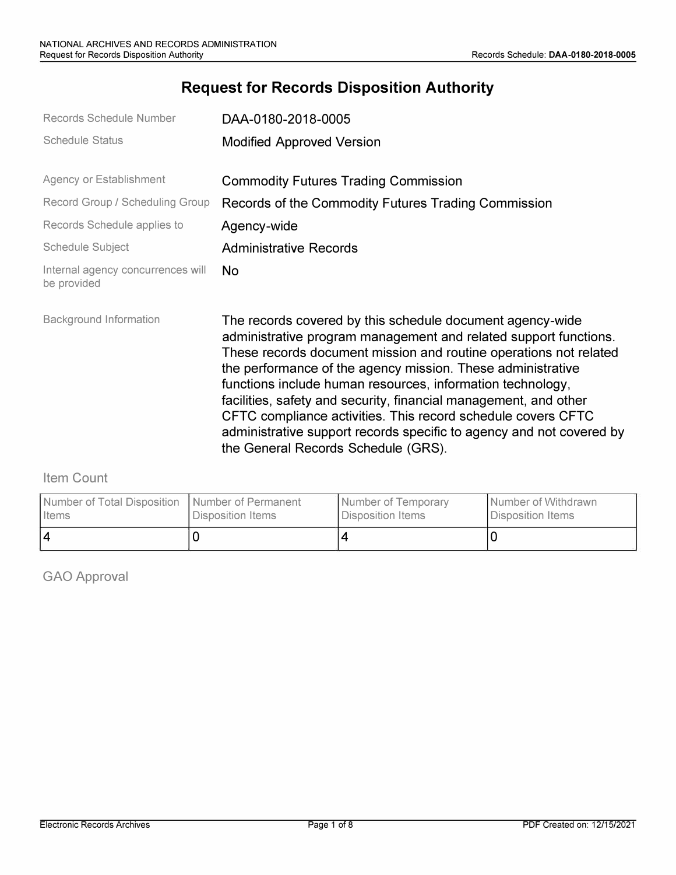# **Request for Records Disposition Authority**

| Records Schedule Number                          | DAA-0180-2018-0005                                                                                                                                                                                                                                                                                                                                                                                                                                                                                                                                                                 |
|--------------------------------------------------|------------------------------------------------------------------------------------------------------------------------------------------------------------------------------------------------------------------------------------------------------------------------------------------------------------------------------------------------------------------------------------------------------------------------------------------------------------------------------------------------------------------------------------------------------------------------------------|
| <b>Schedule Status</b>                           | <b>Modified Approved Version</b>                                                                                                                                                                                                                                                                                                                                                                                                                                                                                                                                                   |
| Agency or Establishment                          | <b>Commodity Futures Trading Commission</b>                                                                                                                                                                                                                                                                                                                                                                                                                                                                                                                                        |
| Record Group / Scheduling Group                  | Records of the Commodity Futures Trading Commission                                                                                                                                                                                                                                                                                                                                                                                                                                                                                                                                |
| Records Schedule applies to                      | Agency-wide                                                                                                                                                                                                                                                                                                                                                                                                                                                                                                                                                                        |
| <b>Schedule Subject</b>                          | <b>Administrative Records</b>                                                                                                                                                                                                                                                                                                                                                                                                                                                                                                                                                      |
| Internal agency concurrences will<br>be provided | No.                                                                                                                                                                                                                                                                                                                                                                                                                                                                                                                                                                                |
| <b>Background Information</b>                    | The records covered by this schedule document agency-wide<br>administrative program management and related support functions.<br>These records document mission and routine operations not related<br>the performance of the agency mission. These administrative<br>functions include human resources, information technology,<br>facilities, safety and security, financial management, and other<br>CFTC compliance activities. This record schedule covers CFTC<br>administrative support records specific to agency and not covered by<br>the General Records Schedule (GRS). |

### Item Count

| Number of Total Disposition   Number of Permanent | Disposition Items | Number of Temporary | Number of Withdrawn |
|---------------------------------------------------|-------------------|---------------------|---------------------|
| <b>I</b> Items                                    |                   | Disposition Items   | Disposition Items   |
|                                                   |                   |                     |                     |

GAO Approval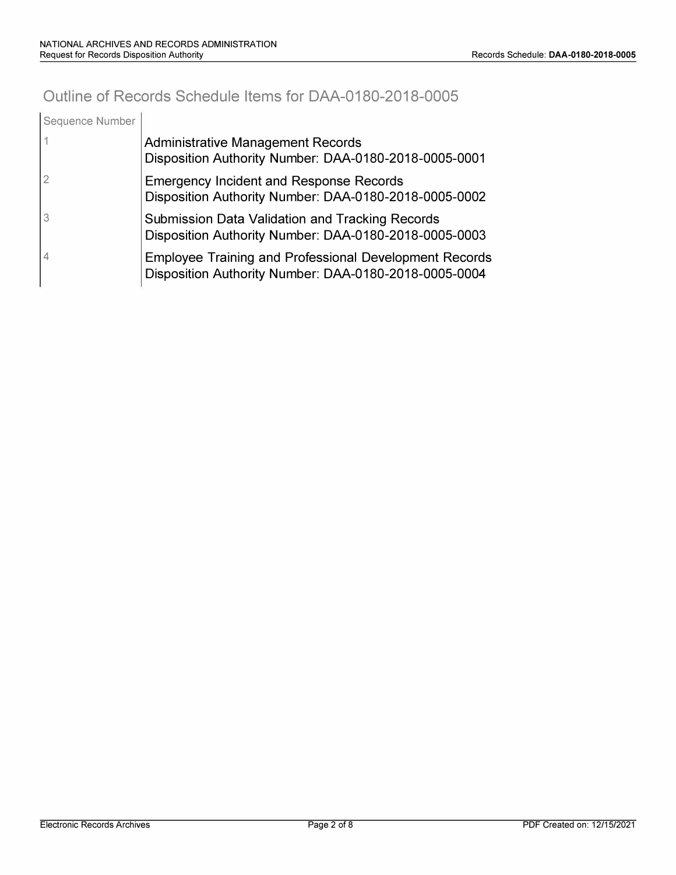## **Outline of Records Schedule Items for DAA-0180-2018-0005**

| Sequence Number |                                                                                                                        |
|-----------------|------------------------------------------------------------------------------------------------------------------------|
|                 | <b>Administrative Management Records</b><br>Disposition Authority Number: DAA-0180-2018-0005-0001                      |
|                 | <b>Emergency Incident and Response Records</b><br>Disposition Authority Number: DAA-0180-2018-0005-0002                |
|                 | Submission Data Validation and Tracking Records<br>Disposition Authority Number: DAA-0180-2018-0005-0003               |
| 4               | <b>Employee Training and Professional Development Records</b><br>Disposition Authority Number: DAA-0180-2018-0005-0004 |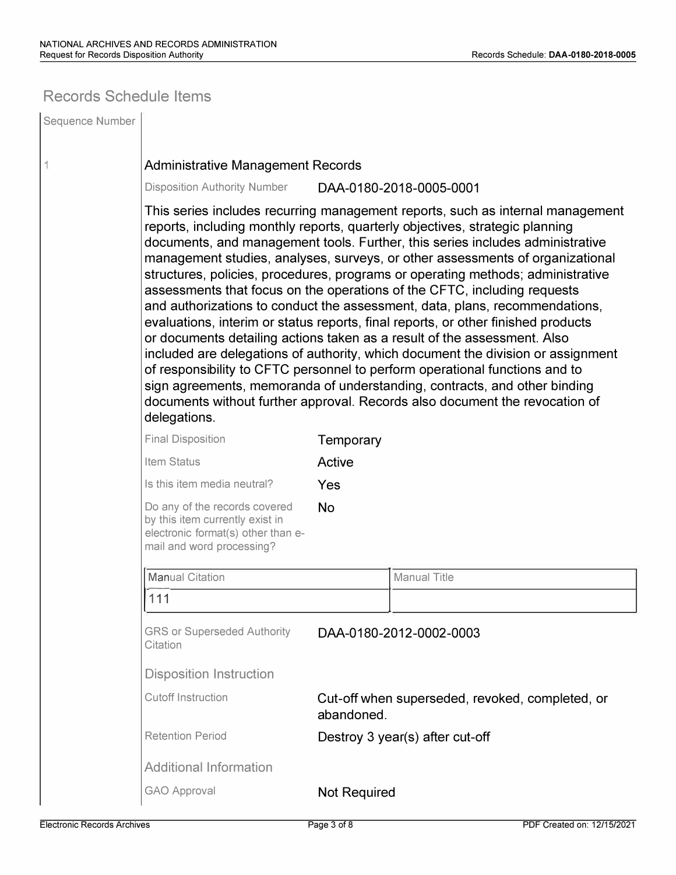### **Records Schedule Items**

| Sequence Number |                                                                                                                                                                                                                                                                                                                                                                                                                                                                                                                                                                                                                                                                                                                                                                                                                                                                                                                                                                                                                                                                                                |                                                               |                                 |  |  |
|-----------------|------------------------------------------------------------------------------------------------------------------------------------------------------------------------------------------------------------------------------------------------------------------------------------------------------------------------------------------------------------------------------------------------------------------------------------------------------------------------------------------------------------------------------------------------------------------------------------------------------------------------------------------------------------------------------------------------------------------------------------------------------------------------------------------------------------------------------------------------------------------------------------------------------------------------------------------------------------------------------------------------------------------------------------------------------------------------------------------------|---------------------------------------------------------------|---------------------------------|--|--|
| 1               | <b>Administrative Management Records</b>                                                                                                                                                                                                                                                                                                                                                                                                                                                                                                                                                                                                                                                                                                                                                                                                                                                                                                                                                                                                                                                       |                                                               |                                 |  |  |
|                 | <b>Disposition Authority Number</b><br>DAA-0180-2018-0005-0001                                                                                                                                                                                                                                                                                                                                                                                                                                                                                                                                                                                                                                                                                                                                                                                                                                                                                                                                                                                                                                 |                                                               |                                 |  |  |
|                 | This series includes recurring management reports, such as internal management<br>reports, including monthly reports, quarterly objectives, strategic planning<br>documents, and management tools. Further, this series includes administrative<br>management studies, analyses, surveys, or other assessments of organizational<br>structures, policies, procedures, programs or operating methods; administrative<br>assessments that focus on the operations of the CFTC, including requests<br>and authorizations to conduct the assessment, data, plans, recommendations,<br>evaluations, interim or status reports, final reports, or other finished products<br>or documents detailing actions taken as a result of the assessment. Also<br>included are delegations of authority, which document the division or assignment<br>of responsibility to CFTC personnel to perform operational functions and to<br>sign agreements, memoranda of understanding, contracts, and other binding<br>documents without further approval. Records also document the revocation of<br>delegations. |                                                               |                                 |  |  |
|                 | <b>Final Disposition</b>                                                                                                                                                                                                                                                                                                                                                                                                                                                                                                                                                                                                                                                                                                                                                                                                                                                                                                                                                                                                                                                                       | Temporary                                                     |                                 |  |  |
|                 | Item Status                                                                                                                                                                                                                                                                                                                                                                                                                                                                                                                                                                                                                                                                                                                                                                                                                                                                                                                                                                                                                                                                                    | Active                                                        |                                 |  |  |
|                 | Is this item media neutral?                                                                                                                                                                                                                                                                                                                                                                                                                                                                                                                                                                                                                                                                                                                                                                                                                                                                                                                                                                                                                                                                    | Yes                                                           |                                 |  |  |
|                 | Do any of the records covered<br>by this item currently exist in<br>electronic format(s) other than e-<br>mail and word processing?                                                                                                                                                                                                                                                                                                                                                                                                                                                                                                                                                                                                                                                                                                                                                                                                                                                                                                                                                            | <b>No</b>                                                     |                                 |  |  |
|                 | <b>Manual Citation</b>                                                                                                                                                                                                                                                                                                                                                                                                                                                                                                                                                                                                                                                                                                                                                                                                                                                                                                                                                                                                                                                                         |                                                               | <b>Manual Title</b>             |  |  |
|                 | 111                                                                                                                                                                                                                                                                                                                                                                                                                                                                                                                                                                                                                                                                                                                                                                                                                                                                                                                                                                                                                                                                                            |                                                               |                                 |  |  |
|                 | <b>GRS or Superseded Authority</b><br>Citation                                                                                                                                                                                                                                                                                                                                                                                                                                                                                                                                                                                                                                                                                                                                                                                                                                                                                                                                                                                                                                                 |                                                               | DAA-0180-2012-0002-0003         |  |  |
|                 | <b>Disposition Instruction</b>                                                                                                                                                                                                                                                                                                                                                                                                                                                                                                                                                                                                                                                                                                                                                                                                                                                                                                                                                                                                                                                                 |                                                               |                                 |  |  |
|                 | <b>Cutoff Instruction</b>                                                                                                                                                                                                                                                                                                                                                                                                                                                                                                                                                                                                                                                                                                                                                                                                                                                                                                                                                                                                                                                                      | Cut-off when superseded, revoked, completed, or<br>abandoned. |                                 |  |  |
|                 | <b>Retention Period</b>                                                                                                                                                                                                                                                                                                                                                                                                                                                                                                                                                                                                                                                                                                                                                                                                                                                                                                                                                                                                                                                                        |                                                               | Destroy 3 year(s) after cut-off |  |  |
|                 | <b>Additional Information</b>                                                                                                                                                                                                                                                                                                                                                                                                                                                                                                                                                                                                                                                                                                                                                                                                                                                                                                                                                                                                                                                                  |                                                               |                                 |  |  |
|                 | <b>GAO Approval</b>                                                                                                                                                                                                                                                                                                                                                                                                                                                                                                                                                                                                                                                                                                                                                                                                                                                                                                                                                                                                                                                                            | <b>Not Required</b>                                           |                                 |  |  |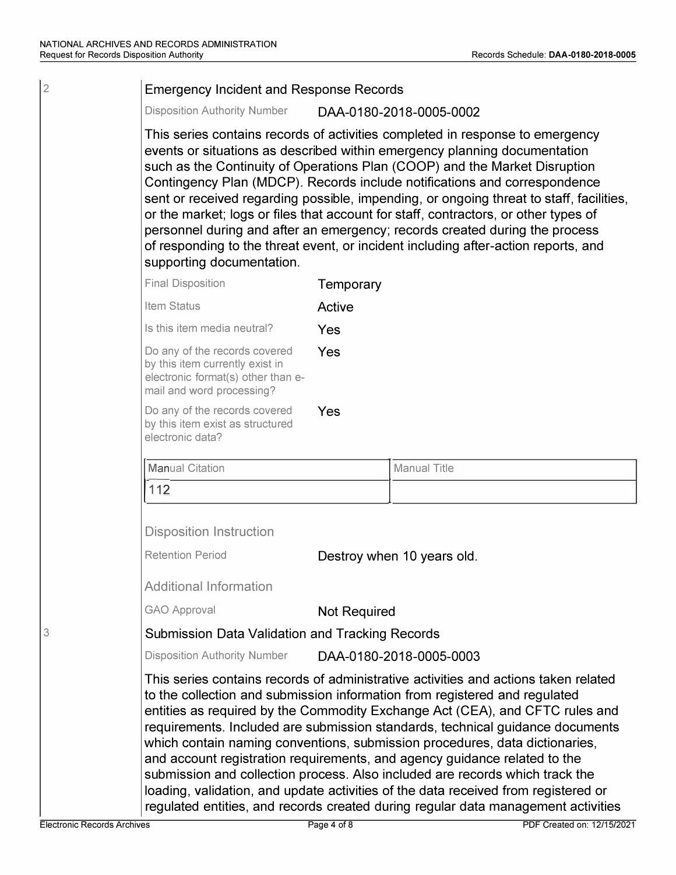### 2 Emergency Incident and Response Records

Disposition Authority Number DAA-0180-2018-0005-0002

This series contains records of activities completed in response to emergency events or situations as described within emergency planning documentation such as the Continuity of Operations Plan (COOP) and the Market Disruption Contingency Plan (MDCP). Records include notifications and correspondence sent or received regarding possible, impending, or ongoing threat to staff, facilities, or the market; logs or files that account for staff, contractors, or other types of personnel during and after an emergency; records created during the process of responding to the threat event, or incident including after-action reports, and supporting documentation.

| <b>Final Disposition</b>                                                                                                            | Temporary |
|-------------------------------------------------------------------------------------------------------------------------------------|-----------|
| Item Status                                                                                                                         | Active    |
| Is this item media neutral?                                                                                                         | Yes       |
| Do any of the records covered<br>by this item currently exist in<br>electronic format(s) other than e-<br>mail and word processing? | Yes       |
| Do any of the records covered<br>by this item exist as structured<br>electronic data?                                               | Yes       |
| <b>Manual Citation</b>                                                                                                              |           |

| Manual Citation | Manual Title |
|-----------------|--------------|
| 1117            |              |
|                 |              |

Disposition Instruction

Retention Period **Destroy when 10 years old.** 

Additional Information

GAO Approval **Not Required** 

3 Submission Data Validation and Tracking Records

Disposition Authority Number DAA-0180-2018-0005-0003

This series contains records of administrative activities and actions taken related to the collection and submission information from registered and regulated entities as required by the Commodity Exchange Act (CEA), and CFTC rules and requirements. Included are submission standards, technical guidance documents which contain naming conventions, submission procedures, data dictionaries, and account registration requirements, and agency guidance related to the submission and collection process. Also included are records which track the loading, validation, and update activities of the data received from registered or regulated entities, and records created during regular data management activities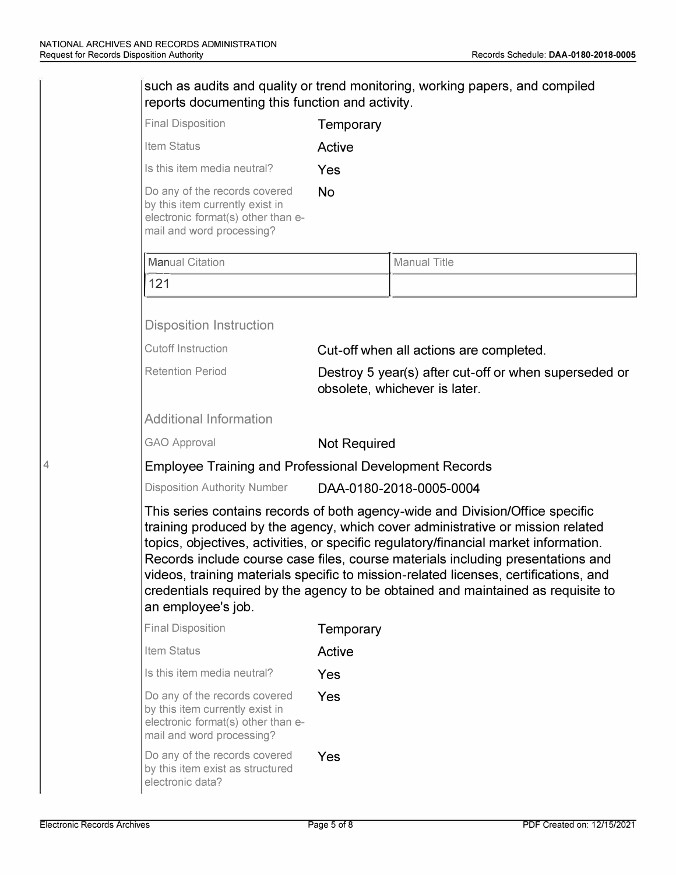| <b>Final Disposition</b>                                                                                                            | Temporary                                                                                                                                                                                                                                                                                                                                                                                                                                                                                                              |  |  |
|-------------------------------------------------------------------------------------------------------------------------------------|------------------------------------------------------------------------------------------------------------------------------------------------------------------------------------------------------------------------------------------------------------------------------------------------------------------------------------------------------------------------------------------------------------------------------------------------------------------------------------------------------------------------|--|--|
| Item Status                                                                                                                         | Active                                                                                                                                                                                                                                                                                                                                                                                                                                                                                                                 |  |  |
| Is this item media neutral?                                                                                                         | Yes                                                                                                                                                                                                                                                                                                                                                                                                                                                                                                                    |  |  |
| Do any of the records covered<br>by this item currently exist in<br>electronic format(s) other than e-<br>mail and word processing? | <b>No</b>                                                                                                                                                                                                                                                                                                                                                                                                                                                                                                              |  |  |
| <b>Manual Citation</b>                                                                                                              | <b>Manual Title</b>                                                                                                                                                                                                                                                                                                                                                                                                                                                                                                    |  |  |
| 121                                                                                                                                 |                                                                                                                                                                                                                                                                                                                                                                                                                                                                                                                        |  |  |
| <b>Disposition Instruction</b>                                                                                                      |                                                                                                                                                                                                                                                                                                                                                                                                                                                                                                                        |  |  |
| <b>Cutoff Instruction</b>                                                                                                           | Cut-off when all actions are completed.                                                                                                                                                                                                                                                                                                                                                                                                                                                                                |  |  |
| <b>Retention Period</b>                                                                                                             | Destroy 5 year(s) after cut-off or when superseded or<br>obsolete, whichever is later.                                                                                                                                                                                                                                                                                                                                                                                                                                 |  |  |
| <b>Additional Information</b>                                                                                                       |                                                                                                                                                                                                                                                                                                                                                                                                                                                                                                                        |  |  |
| <b>GAO Approval</b>                                                                                                                 | <b>Not Required</b>                                                                                                                                                                                                                                                                                                                                                                                                                                                                                                    |  |  |
|                                                                                                                                     | <b>Employee Training and Professional Development Records</b>                                                                                                                                                                                                                                                                                                                                                                                                                                                          |  |  |
| <b>Disposition Authority Number</b>                                                                                                 | DAA-0180-2018-0005-0004                                                                                                                                                                                                                                                                                                                                                                                                                                                                                                |  |  |
| an employee's job.                                                                                                                  | This series contains records of both agency-wide and Division/Office specific<br>training produced by the agency, which cover administrative or mission related<br>topics, objectives, activities, or specific regulatory/financial market information.<br>Records include course case files, course materials including presentations and<br>videos, training materials specific to mission-related licenses, certifications, and<br>credentials required by the agency to be obtained and maintained as requisite to |  |  |
| <b>Final Disposition</b>                                                                                                            | Temporary                                                                                                                                                                                                                                                                                                                                                                                                                                                                                                              |  |  |
| Item Status                                                                                                                         | Active                                                                                                                                                                                                                                                                                                                                                                                                                                                                                                                 |  |  |
| Is this item media neutral?                                                                                                         | Yes                                                                                                                                                                                                                                                                                                                                                                                                                                                                                                                    |  |  |
| Do any of the records covered<br>by this item currently exist in<br>electronic format(s) other than e-                              | Yes                                                                                                                                                                                                                                                                                                                                                                                                                                                                                                                    |  |  |
| mail and word processing?                                                                                                           |                                                                                                                                                                                                                                                                                                                                                                                                                                                                                                                        |  |  |

4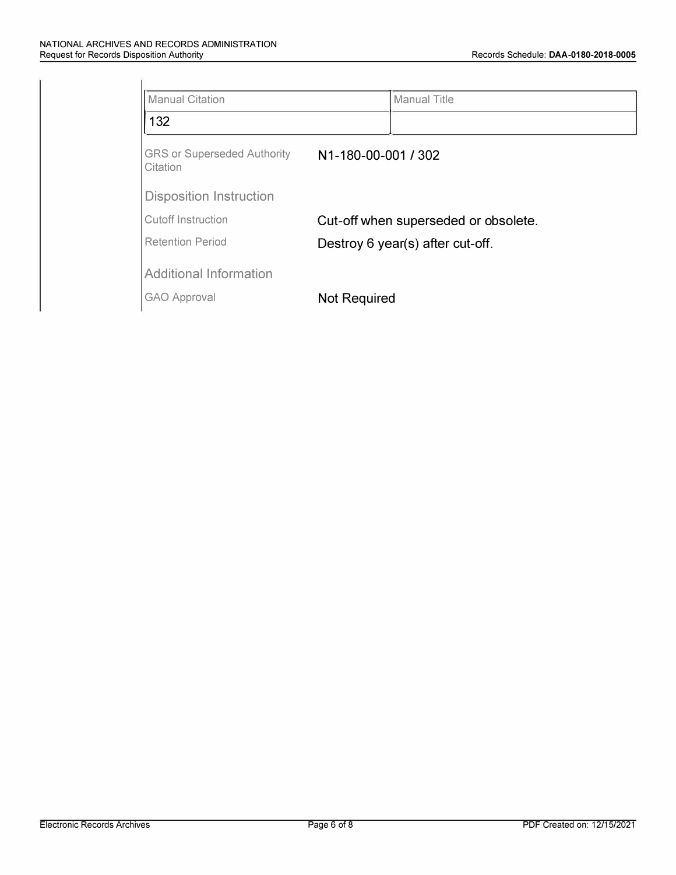| <b>Manual Citation</b>                         |                                      | <b>Manual Title</b> |
|------------------------------------------------|--------------------------------------|---------------------|
| 132                                            |                                      |                     |
| <b>GRS or Superseded Authority</b><br>Citation | N1-180-00-001 / 302                  |                     |
| <b>Disposition Instruction</b>                 |                                      |                     |
| Cutoff Instruction                             | Cut-off when superseded or obsolete. |                     |
| <b>Retention Period</b>                        | Destroy 6 year(s) after cut-off.     |                     |
| <b>Additional Information</b>                  |                                      |                     |
| <b>GAO Approval</b>                            | <b>Not Required</b>                  |                     |